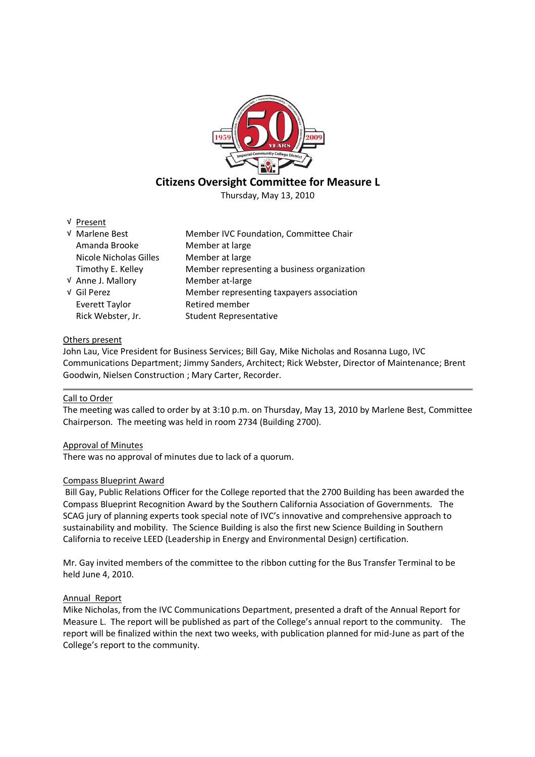

# **Citizens Oversight Committee for Measure L**

Thursday, May 13, 2010

√ Present

| √ Marlene Best         | Member IVC Foundation, Committee Chair      |
|------------------------|---------------------------------------------|
| Amanda Brooke          | Member at large                             |
| Nicole Nicholas Gilles | Member at large                             |
| Timothy E. Kelley      | Member representing a business organization |
| V Anne J. Mallory      | Member at-large                             |
| √ Gil Perez            | Member representing taxpayers association   |
| Everett Taylor         | Retired member                              |
| Rick Webster, Jr.      | <b>Student Representative</b>               |

## Others present

John Lau, Vice President for Business Services; Bill Gay, Mike Nicholas and Rosanna Lugo, IVC Communications Department; Jimmy Sanders, Architect; Rick Webster, Director of Maintenance; Brent Goodwin, Nielsen Construction ; Mary Carter, Recorder.

## Call to Order

The meeting was called to order by at 3:10 p.m. on Thursday, May 13, 2010 by Marlene Best, Committee Chairperson. The meeting was held in room 2734 (Building 2700).

# Approval of Minutes

There was no approval of minutes due to lack of a quorum.

## Compass Blueprint Award

Bill Gay, Public Relations Officer for the College reported that the 2700 Building has been awarded the Compass Blueprint Recognition Award by the Southern California Association of Governments. The SCAG jury of planning experts took special note of IVC's innovative and comprehensive approach to sustainability and mobility. The Science Building is also the first new Science Building in Southern California to receive LEED (Leadership in Energy and Environmental Design) certification.

Mr. Gay invited members of the committee to the ribbon cutting for the Bus Transfer Terminal to be held June 4, 2010.

## Annual Report

Mike Nicholas, from the IVC Communications Department, presented a draft of the Annual Report for Measure L. The report will be published as part of the College's annual report to the community. The report will be finalized within the next two weeks, with publication planned for mid-June as part of the College's report to the community.